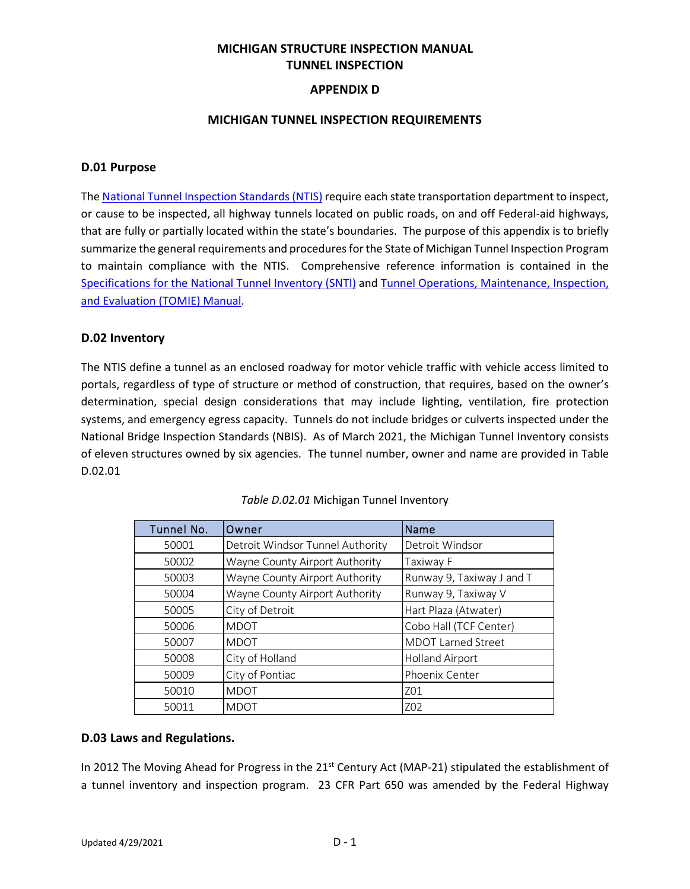# **MICHIGAN STRUCTURE INSPECTION MANUAL TUNNEL INSPECTION**

#### **APPENDIX D**

#### **MICHIGAN TUNNEL INSPECTION REQUIREMENTS**

#### **D.01 Purpose**

Th[e National Tunnel Inspection Standards \(NTIS\)](https://www.govinfo.gov/content/pkg/FR-2015-07-14/pdf/2015-16896.pdf) require each state transportation department to inspect, or cause to be inspected, all highway tunnels located on public roads, on and off Federal-aid highways, that are fully or partially located within the state's boundaries. The purpose of this appendix is to briefly summarize the general requirements and procedures for the State of Michigan Tunnel Inspection Program to maintain compliance with the NTIS. Comprehensive reference information is contained in the [Specifications for the National Tunnel Inventory \(SNTI\)](https://www.fhwa.dot.gov/bridge/inspection/tunnel/snti/hif15006.pdf) and [Tunnel Operations, Maintenance, Inspection,](https://www.fhwa.dot.gov/bridge/inspection/tunnel/tomie/hif15005.pdf)  [and Evaluation \(TOMIE\) Manual.](https://www.fhwa.dot.gov/bridge/inspection/tunnel/tomie/hif15005.pdf)

#### **D.02 Inventory**

The NTIS define a tunnel as an enclosed roadway for motor vehicle traffic with vehicle access limited to portals, regardless of type of structure or method of construction, that requires, based on the owner's determination, special design considerations that may include lighting, ventilation, fire protection systems, and emergency egress capacity. Tunnels do not include bridges or culverts inspected under the National Bridge Inspection Standards (NBIS). As of March 2021, the Michigan Tunnel Inventory consists of eleven structures owned by six agencies. The tunnel number, owner and name are provided in Table D.02.01

| Tunnel No. | Owner                            | Name                      |
|------------|----------------------------------|---------------------------|
| 50001      | Detroit Windsor Tunnel Authority | Detroit Windsor           |
| 50002      | Wayne County Airport Authority   | Taxiway F                 |
| 50003      | Wayne County Airport Authority   | Runway 9, Taxiway J and T |
| 50004      | Wayne County Airport Authority   | Runway 9, Taxiway V       |
| 50005      | City of Detroit                  | Hart Plaza (Atwater)      |
| 50006      | <b>MDOT</b>                      | Cobo Hall (TCF Center)    |
| 50007      | <b>MDOT</b>                      | <b>MDOT Larned Street</b> |
| 50008      | City of Holland                  | <b>Holland Airport</b>    |
| 50009      | City of Pontiac                  | Phoenix Center            |
| 50010      | <b>MDOT</b>                      | Z01                       |
| 50011      | <b>MDOT</b>                      | Z02                       |

#### *Table D.02.01* Michigan Tunnel Inventory

#### **D.03 Laws and Regulations.**

In 2012 The Moving Ahead for Progress in the  $21<sup>st</sup>$  Century Act (MAP-21) stipulated the establishment of a tunnel inventory and inspection program. 23 CFR Part 650 was amended by the Federal Highway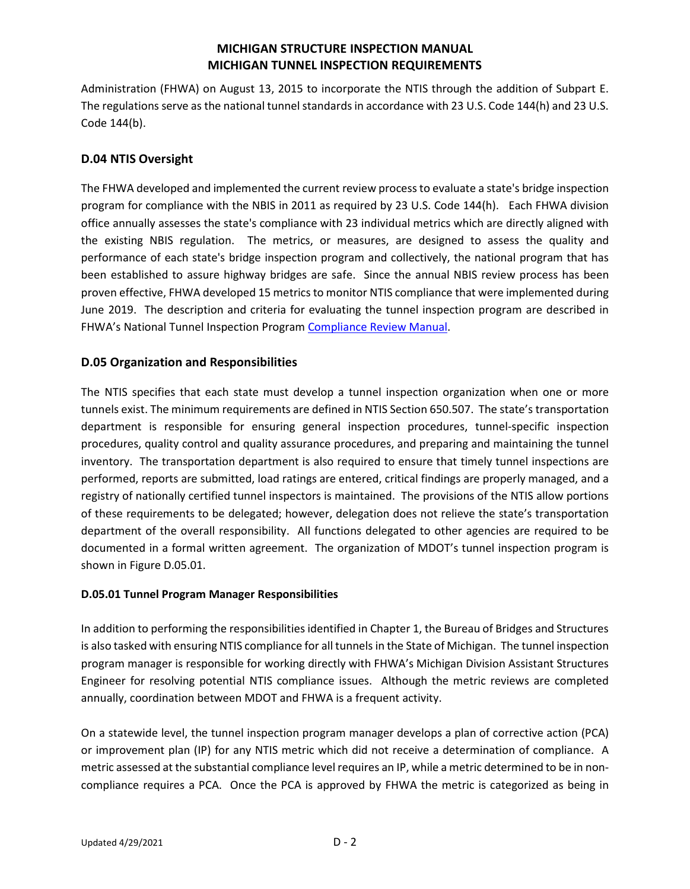Administration (FHWA) on August 13, 2015 to incorporate the NTIS through the addition of Subpart E. The regulations serve as the national tunnel standards in accordance with 23 U.S. Code 144(h) and 23 U.S. Code 144(b).

## **D.04 NTIS Oversight**

The FHWA developed and implemented the current review process to evaluate a state's bridge inspection program for compliance with the NBIS in 2011 as required by 23 U.S. Code 144(h). Each FHWA division office annually assesses the state's compliance with 23 individual metrics which are directly aligned with the existing NBIS regulation. The metrics, or measures, are designed to assess the quality and performance of each state's bridge inspection program and collectively, the national program that has been established to assure highway bridges are safe. Since the annual NBIS review process has been proven effective, FHWA developed 15 metrics to monitor NTIS compliance that were implemented during June 2019. The description and criteria for evaluating the tunnel inspection program are described in FHWA's National Tunnel Inspection Program [Compliance Review Manual.](https://www.fhwa.dot.gov/bridge/inspection/tunnel/ntip_compliance_review.pdf)

## **D.05 Organization and Responsibilities**

The NTIS specifies that each state must develop a tunnel inspection organization when one or more tunnels exist. The minimum requirements are defined in NTIS Section 650.507. The state's transportation department is responsible for ensuring general inspection procedures, tunnel-specific inspection procedures, quality control and quality assurance procedures, and preparing and maintaining the tunnel inventory. The transportation department is also required to ensure that timely tunnel inspections are performed, reports are submitted, load ratings are entered, critical findings are properly managed, and a registry of nationally certified tunnel inspectors is maintained. The provisions of the NTIS allow portions of these requirements to be delegated; however, delegation does not relieve the state's transportation department of the overall responsibility. All functions delegated to other agencies are required to be documented in a formal written agreement. The organization of MDOT's tunnel inspection program is shown in Figure D.05.01.

### **D.05.01 Tunnel Program Manager Responsibilities**

In addition to performing the responsibilities identified in Chapter 1, the Bureau of Bridges and Structures is also tasked with ensuring NTIS compliance for all tunnels in the State of Michigan. The tunnel inspection program manager is responsible for working directly with FHWA's Michigan Division Assistant Structures Engineer for resolving potential NTIS compliance issues. Although the metric reviews are completed annually, coordination between MDOT and FHWA is a frequent activity.

On a statewide level, the tunnel inspection program manager develops a plan of corrective action (PCA) or improvement plan (IP) for any NTIS metric which did not receive a determination of compliance. A metric assessed at the substantial compliance level requires an IP, while a metric determined to be in noncompliance requires a PCA. Once the PCA is approved by FHWA the metric is categorized as being in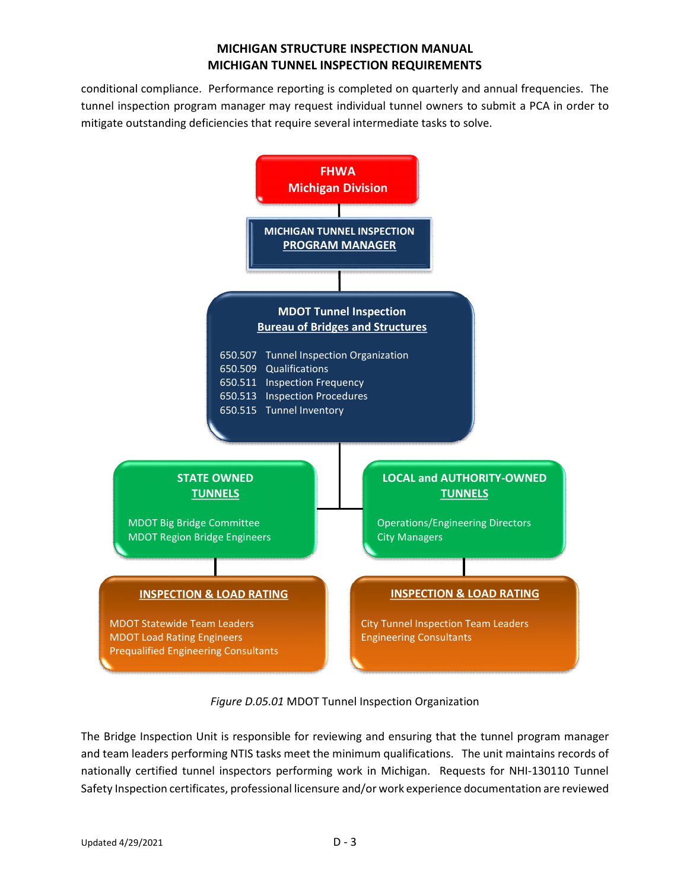conditional compliance. Performance reporting is completed on quarterly and annual frequencies. The tunnel inspection program manager may request individual tunnel owners to submit a PCA in order to mitigate outstanding deficiencies that require several intermediate tasks to solve.



*Figure D.05.01* MDOT Tunnel Inspection Organization

The Bridge Inspection Unit is responsible for reviewing and ensuring that the tunnel program manager and team leaders performing NTIS tasks meet the minimum qualifications. The unit maintains records of nationally certified tunnel inspectors performing work in Michigan. Requests for NHI-130110 Tunnel Safety Inspection certificates, professional licensure and/or work experience documentation are reviewed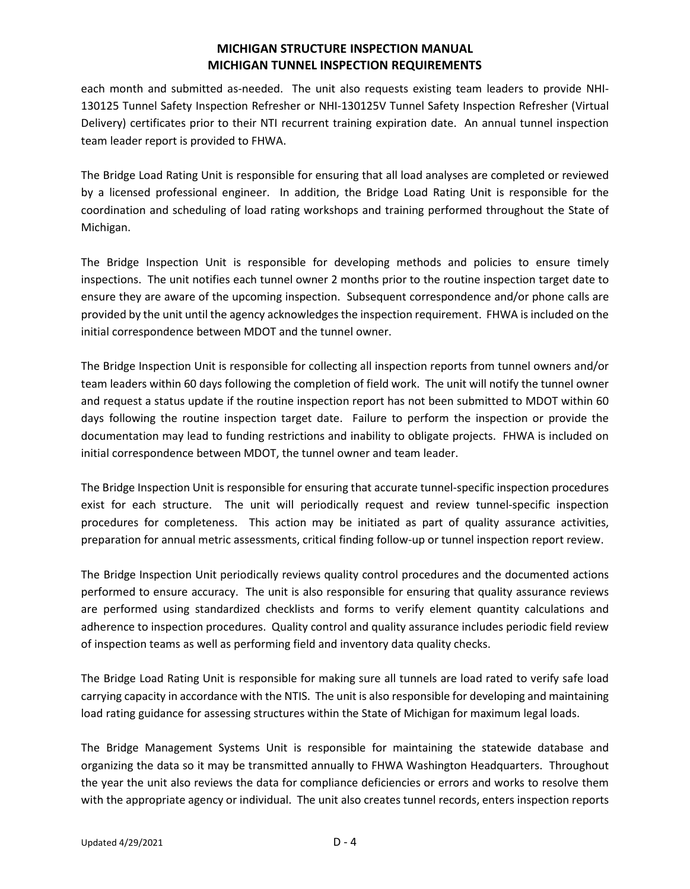each month and submitted as-needed. The unit also requests existing team leaders to provide NHI-130125 Tunnel Safety Inspection Refresher or NHI-130125V Tunnel Safety Inspection Refresher (Virtual Delivery) certificates prior to their NTI recurrent training expiration date. An annual tunnel inspection team leader report is provided to FHWA.

The Bridge Load Rating Unit is responsible for ensuring that all load analyses are completed or reviewed by a licensed professional engineer. In addition, the Bridge Load Rating Unit is responsible for the coordination and scheduling of load rating workshops and training performed throughout the State of Michigan.

The Bridge Inspection Unit is responsible for developing methods and policies to ensure timely inspections. The unit notifies each tunnel owner 2 months prior to the routine inspection target date to ensure they are aware of the upcoming inspection. Subsequent correspondence and/or phone calls are provided by the unit until the agency acknowledges the inspection requirement. FHWA is included on the initial correspondence between MDOT and the tunnel owner.

The Bridge Inspection Unit is responsible for collecting all inspection reports from tunnel owners and/or team leaders within 60 days following the completion of field work. The unit will notify the tunnel owner and request a status update if the routine inspection report has not been submitted to MDOT within 60 days following the routine inspection target date. Failure to perform the inspection or provide the documentation may lead to funding restrictions and inability to obligate projects. FHWA is included on initial correspondence between MDOT, the tunnel owner and team leader.

The Bridge Inspection Unit is responsible for ensuring that accurate tunnel-specific inspection procedures exist for each structure. The unit will periodically request and review tunnel-specific inspection procedures for completeness. This action may be initiated as part of quality assurance activities, preparation for annual metric assessments, critical finding follow-up or tunnel inspection report review.

The Bridge Inspection Unit periodically reviews quality control procedures and the documented actions performed to ensure accuracy. The unit is also responsible for ensuring that quality assurance reviews are performed using standardized checklists and forms to verify element quantity calculations and adherence to inspection procedures. Quality control and quality assurance includes periodic field review of inspection teams as well as performing field and inventory data quality checks.

The Bridge Load Rating Unit is responsible for making sure all tunnels are load rated to verify safe load carrying capacity in accordance with the NTIS. The unit is also responsible for developing and maintaining load rating guidance for assessing structures within the State of Michigan for maximum legal loads.

The Bridge Management Systems Unit is responsible for maintaining the statewide database and organizing the data so it may be transmitted annually to FHWA Washington Headquarters. Throughout the year the unit also reviews the data for compliance deficiencies or errors and works to resolve them with the appropriate agency or individual. The unit also creates tunnel records, enters inspection reports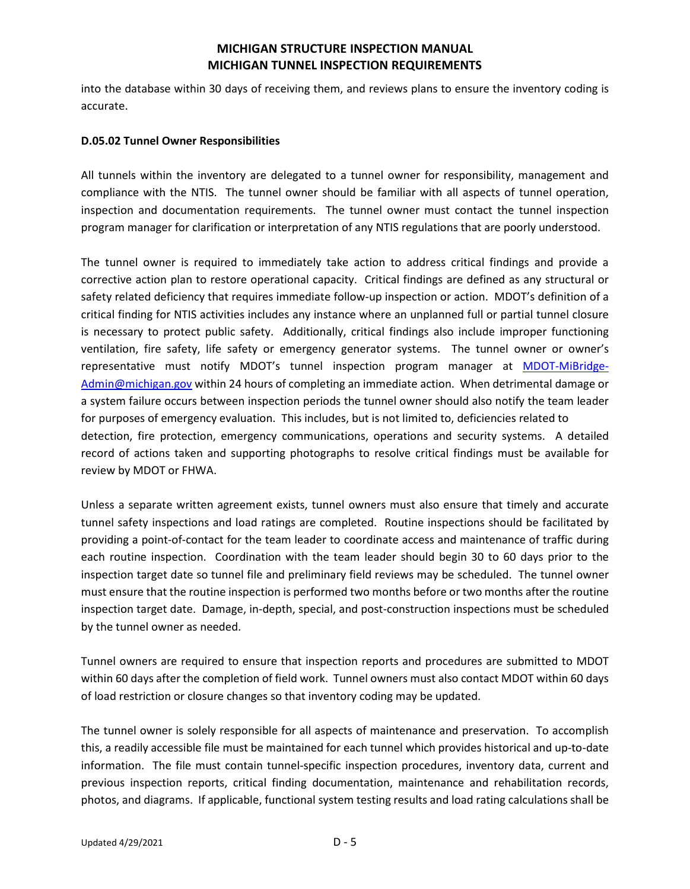into the database within 30 days of receiving them, and reviews plans to ensure the inventory coding is accurate.

#### **D.05.02 Tunnel Owner Responsibilities**

All tunnels within the inventory are delegated to a tunnel owner for responsibility, management and compliance with the NTIS. The tunnel owner should be familiar with all aspects of tunnel operation, inspection and documentation requirements. The tunnel owner must contact the tunnel inspection program manager for clarification or interpretation of any NTIS regulations that are poorly understood.

The tunnel owner is required to immediately take action to address critical findings and provide a corrective action plan to restore operational capacity. Critical findings are defined as any structural or safety related deficiency that requires immediate follow-up inspection or action. MDOT's definition of a critical finding for NTIS activities includes any instance where an unplanned full or partial tunnel closure is necessary to protect public safety. Additionally, critical findings also include improper functioning ventilation, fire safety, life safety or emergency generator systems. The tunnel owner or owner's representative must notify MDOT's tunnel inspection program manager at [MDOT-MiBridge-](mailto:MDOT-MiBridge-Admin@michigan.gov)[Admin@michigan.gov w](mailto:MDOT-MiBridge-Admin@michigan.gov)ithin 24 hours of completing an immediate action. When detrimental damage or a system failure occurs between inspection periods the tunnel owner should also notify the team leader for purposes of emergency evaluation. This includes, but is not limited to, deficiencies related to detection, fire protection, emergency communications, operations and security systems. A detailed record of actions taken and supporting photographs to resolve critical findings must be available for review by MDOT or FHWA.

Unless a separate written agreement exists, tunnel owners must also ensure that timely and accurate tunnel safety inspections and load ratings are completed. Routine inspections should be facilitated by providing a point-of-contact for the team leader to coordinate access and maintenance of traffic during each routine inspection. Coordination with the team leader should begin 30 to 60 days prior to the inspection target date so tunnel file and preliminary field reviews may be scheduled. The tunnel owner must ensure that the routine inspection is performed two months before or two months after the routine inspection target date. Damage, in-depth, special, and post-construction inspections must be scheduled by the tunnel owner as needed.

Tunnel owners are required to ensure that inspection reports and procedures are submitted to MDOT within 60 days after the completion of field work. Tunnel owners must also contact MDOT within 60 days of load restriction or closure changes so that inventory coding may be updated.

The tunnel owner is solely responsible for all aspects of maintenance and preservation. To accomplish this, a readily accessible file must be maintained for each tunnel which provides historical and up-to-date information. The file must contain tunnel-specific inspection procedures, inventory data, current and previous inspection reports, critical finding documentation, maintenance and rehabilitation records, photos, and diagrams. If applicable, functional system testing results and load rating calculations shall be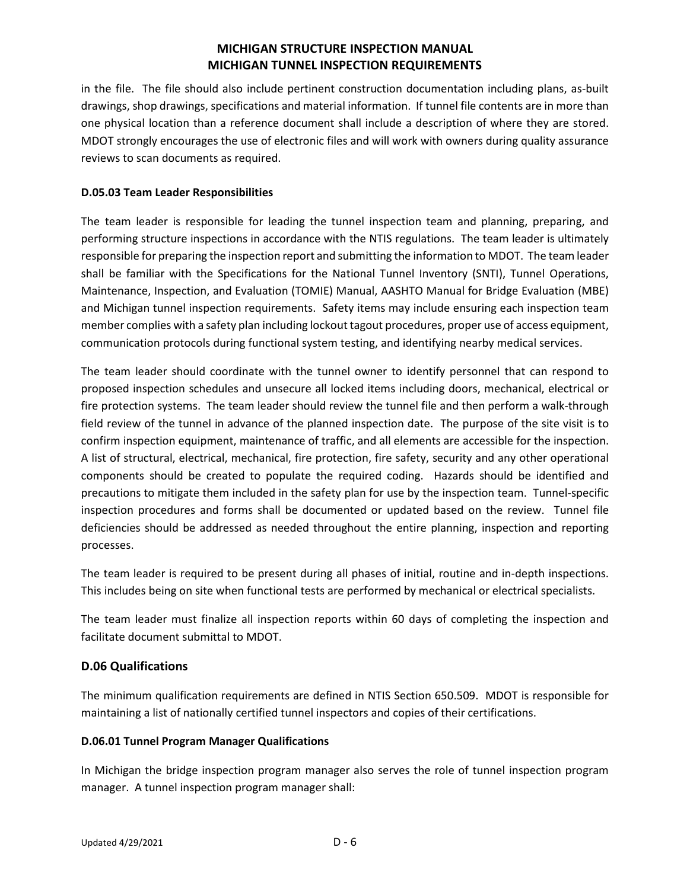in the file. The file should also include pertinent construction documentation including plans, as-built drawings, shop drawings, specifications and material information. If tunnel file contents are in more than one physical location than a reference document shall include a description of where they are stored. MDOT strongly encourages the use of electronic files and will work with owners during quality assurance reviews to scan documents as required.

#### **D.05.03 Team Leader Responsibilities**

The team leader is responsible for leading the tunnel inspection team and planning, preparing, and performing structure inspections in accordance with the NTIS regulations. The team leader is ultimately responsible for preparing the inspection report and submitting the information to MDOT. The team leader shall be familiar with the Specifications for the National Tunnel Inventory (SNTI), Tunnel Operations, Maintenance, Inspection, and Evaluation (TOMIE) Manual, AASHTO Manual for Bridge Evaluation (MBE) and Michigan tunnel inspection requirements. Safety items may include ensuring each inspection team member complies with a safety plan including lockout tagout procedures, proper use of access equipment, communication protocols during functional system testing, and identifying nearby medical services.

The team leader should coordinate with the tunnel owner to identify personnel that can respond to proposed inspection schedules and unsecure all locked items including doors, mechanical, electrical or fire protection systems. The team leader should review the tunnel file and then perform a walk-through field review of the tunnel in advance of the planned inspection date. The purpose of the site visit is to confirm inspection equipment, maintenance of traffic, and all elements are accessible for the inspection. A list of structural, electrical, mechanical, fire protection, fire safety, security and any other operational components should be created to populate the required coding. Hazards should be identified and precautions to mitigate them included in the safety plan for use by the inspection team. Tunnel-specific inspection procedures and forms shall be documented or updated based on the review. Tunnel file deficiencies should be addressed as needed throughout the entire planning, inspection and reporting processes.

The team leader is required to be present during all phases of initial, routine and in-depth inspections. This includes being on site when functional tests are performed by mechanical or electrical specialists.

The team leader must finalize all inspection reports within 60 days of completing the inspection and facilitate document submittal to MDOT.

### **D.06 Qualifications**

The minimum qualification requirements are defined in NTIS Section 650.509. MDOT is responsible for maintaining a list of nationally certified tunnel inspectors and copies of their certifications.

#### **D.06.01 Tunnel Program Manager Qualifications**

In Michigan the bridge inspection program manager also serves the role of tunnel inspection program manager. A tunnel inspection program manager shall: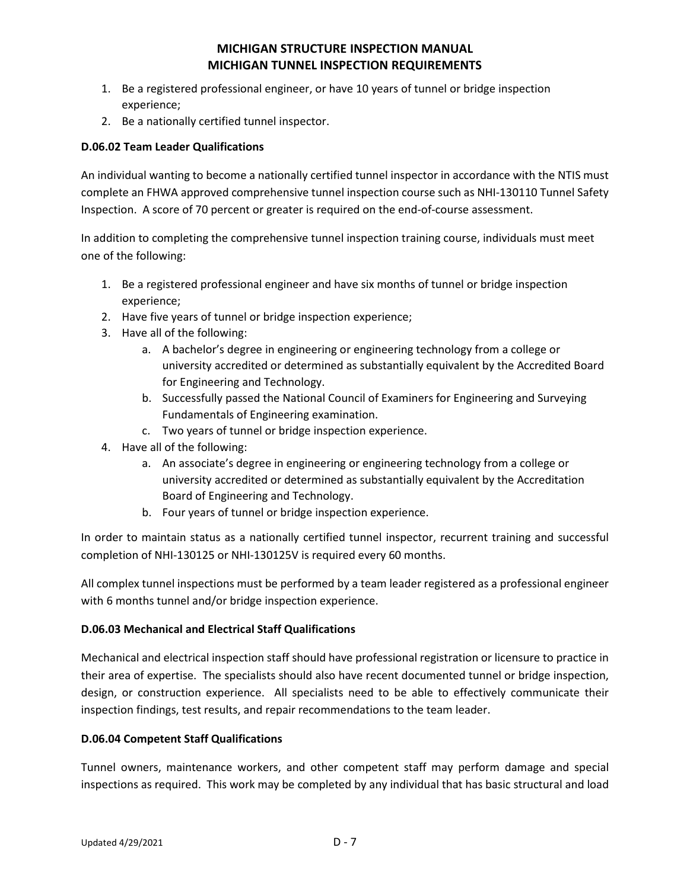- 1. Be a registered professional engineer, or have 10 years of tunnel or bridge inspection experience;
- 2. Be a nationally certified tunnel inspector.

### **D.06.02 Team Leader Qualifications**

An individual wanting to become a nationally certified tunnel inspector in accordance with the NTIS must complete an FHWA approved comprehensive tunnel inspection course such as NHI-130110 Tunnel Safety Inspection. A score of 70 percent or greater is required on the end-of-course assessment.

In addition to completing the comprehensive tunnel inspection training course, individuals must meet one of the following:

- 1. Be a registered professional engineer and have six months of tunnel or bridge inspection experience;
- 2. Have five years of tunnel or bridge inspection experience;
- 3. Have all of the following:
	- a. A bachelor's degree in engineering or engineering technology from a college or university accredited or determined as substantially equivalent by the Accredited Board for Engineering and Technology.
	- b. Successfully passed the National Council of Examiners for Engineering and Surveying Fundamentals of Engineering examination.
	- c. Two years of tunnel or bridge inspection experience.
- 4. Have all of the following:
	- a. An associate's degree in engineering or engineering technology from a college or university accredited or determined as substantially equivalent by the Accreditation Board of Engineering and Technology.
	- b. Four years of tunnel or bridge inspection experience.

In order to maintain status as a nationally certified tunnel inspector, recurrent training and successful completion of NHI-130125 or NHI-130125V is required every 60 months.

All complex tunnel inspections must be performed by a team leader registered as a professional engineer with 6 months tunnel and/or bridge inspection experience.

#### **D.06.03 Mechanical and Electrical Staff Qualifications**

Mechanical and electrical inspection staff should have professional registration or licensure to practice in their area of expertise. The specialists should also have recent documented tunnel or bridge inspection, design, or construction experience. All specialists need to be able to effectively communicate their inspection findings, test results, and repair recommendations to the team leader.

#### **D.06.04 Competent Staff Qualifications**

Tunnel owners, maintenance workers, and other competent staff may perform damage and special inspections as required. This work may be completed by any individual that has basic structural and load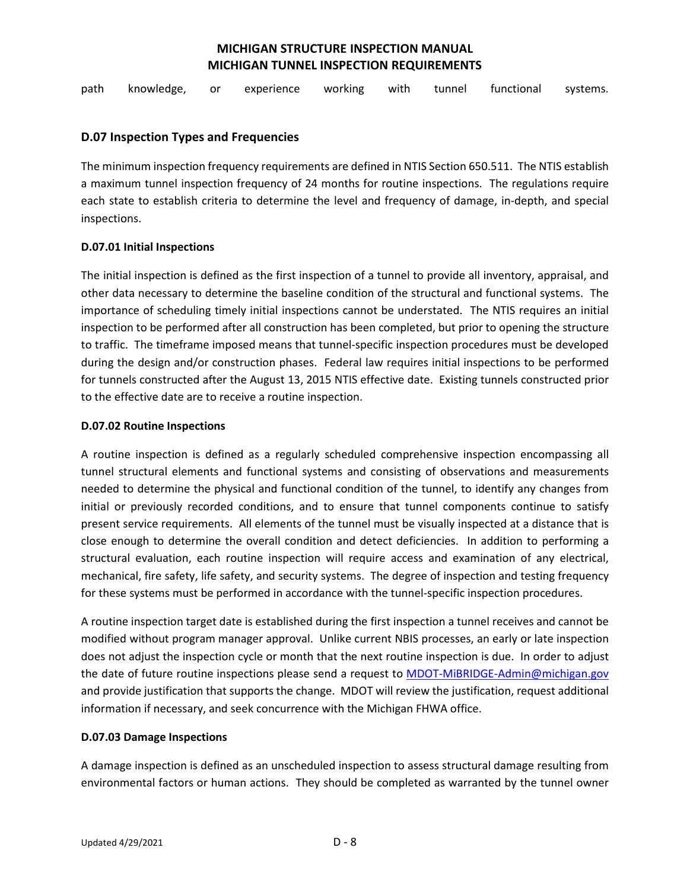path knowledge, or experience working with tunnel functional systems.

#### **D.07 Inspection Types and Frequencies**

The minimum inspection frequency requirements are defined in NTIS Section 650.511. The NTIS establish a maximum tunnel inspection frequency of 24 months for routine inspections. The regulations require each state to establish criteria to determine the level and frequency of damage, in-depth, and special inspections.

#### **D.07.01 Initial Inspections**

The initial inspection is defined as the first inspection of a tunnel to provide all inventory, appraisal, and other data necessary to determine the baseline condition of the structural and functional systems. The importance of scheduling timely initial inspections cannot be understated. The NTIS requires an initial inspection to be performed after all construction has been completed, but prior to opening the structure to traffic. The timeframe imposed means that tunnel-specific inspection procedures must be developed during the design and/or construction phases. Federal law requires initial inspections to be performed for tunnels constructed after the August 13, 2015 NTIS effective date. Existing tunnels constructed prior to the effective date are to receive a routine inspection.

#### **D.07.02 Routine Inspections**

A routine inspection is defined as a regularly scheduled comprehensive inspection encompassing all tunnel structural elements and functional systems and consisting of observations and measurements needed to determine the physical and functional condition of the tunnel, to identify any changes from initial or previously recorded conditions, and to ensure that tunnel components continue to satisfy present service requirements. All elements of the tunnel must be visually inspected at a distance that is close enough to determine the overall condition and detect deficiencies. In addition to performing a structural evaluation, each routine inspection will require access and examination of any electrical, mechanical, fire safety, life safety, and security systems. The degree of inspection and testing frequency for these systems must be performed in accordance with the tunnel-specific inspection procedures.

A routine inspection target date is established during the first inspection a tunnel receives and cannot be modified without program manager approval. Unlike current NBIS processes, an early or late inspection does not adjust the inspection cycle or month that the next routine inspection is due. In order to adjust the date of future routine inspections please send a request to [MDOT-MiBRIDGE-Admin@michigan.gov](mailto:MDOT-MiBRIDGE-Admin@michigan.gov) and provide justification that supports the change. MDOT will review the justification, request additional information if necessary, and seek concurrence with the Michigan FHWA office.

#### **D.07.03 Damage Inspections**

A damage inspection is defined as an unscheduled inspection to assess structural damage resulting from environmental factors or human actions. They should be completed as warranted by the tunnel owner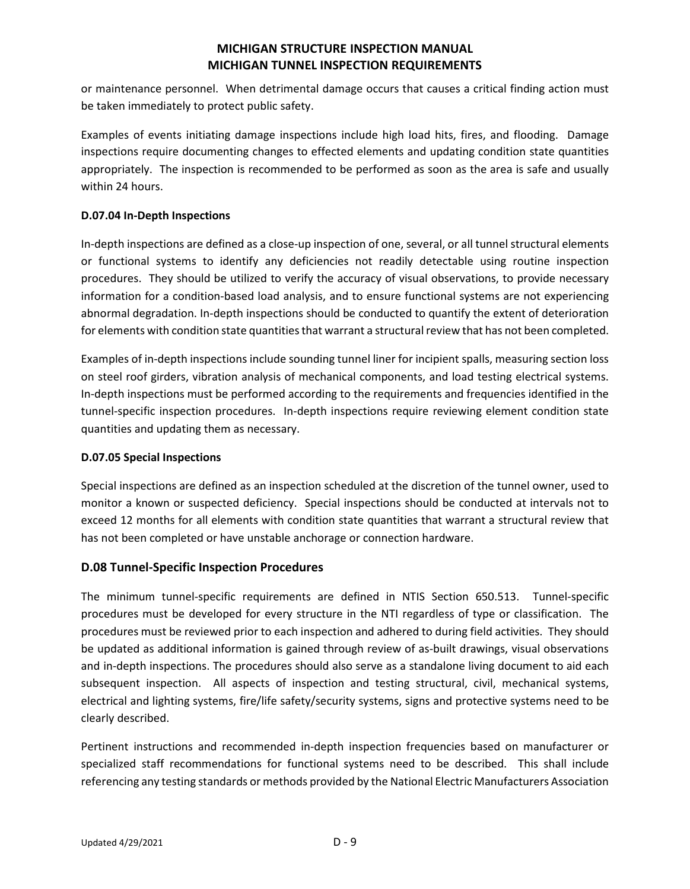or maintenance personnel. When detrimental damage occurs that causes a critical finding action must be taken immediately to protect public safety.

Examples of events initiating damage inspections include high load hits, fires, and flooding. Damage inspections require documenting changes to effected elements and updating condition state quantities appropriately. The inspection is recommended to be performed as soon as the area is safe and usually within 24 hours.

### **D.07.04 In-Depth Inspections**

In-depth inspections are defined as a close-up inspection of one, several, or all tunnel structural elements or functional systems to identify any deficiencies not readily detectable using routine inspection procedures. They should be utilized to verify the accuracy of visual observations, to provide necessary information for a condition-based load analysis, and to ensure functional systems are not experiencing abnormal degradation. In-depth inspections should be conducted to quantify the extent of deterioration for elements with condition state quantities that warrant a structural review that has not been completed.

Examples of in-depth inspections include sounding tunnel liner for incipient spalls, measuring section loss on steel roof girders, vibration analysis of mechanical components, and load testing electrical systems. In-depth inspections must be performed according to the requirements and frequencies identified in the tunnel-specific inspection procedures. In-depth inspections require reviewing element condition state quantities and updating them as necessary.

#### **D.07.05 Special Inspections**

Special inspections are defined as an inspection scheduled at the discretion of the tunnel owner, used to monitor a known or suspected deficiency. Special inspections should be conducted at intervals not to exceed 12 months for all elements with condition state quantities that warrant a structural review that has not been completed or have unstable anchorage or connection hardware.

### **D.08 Tunnel-Specific Inspection Procedures**

The minimum tunnel-specific requirements are defined in NTIS Section 650.513. Tunnel-specific procedures must be developed for every structure in the NTI regardless of type or classification. The procedures must be reviewed prior to each inspection and adhered to during field activities. They should be updated as additional information is gained through review of as-built drawings, visual observations and in-depth inspections. The procedures should also serve as a standalone living document to aid each subsequent inspection. All aspects of inspection and testing structural, civil, mechanical systems, electrical and lighting systems, fire/life safety/security systems, signs and protective systems need to be clearly described.

Pertinent instructions and recommended in-depth inspection frequencies based on manufacturer or specialized staff recommendations for functional systems need to be described. This shall include referencing any testing standards or methods provided by the National Electric Manufacturers Association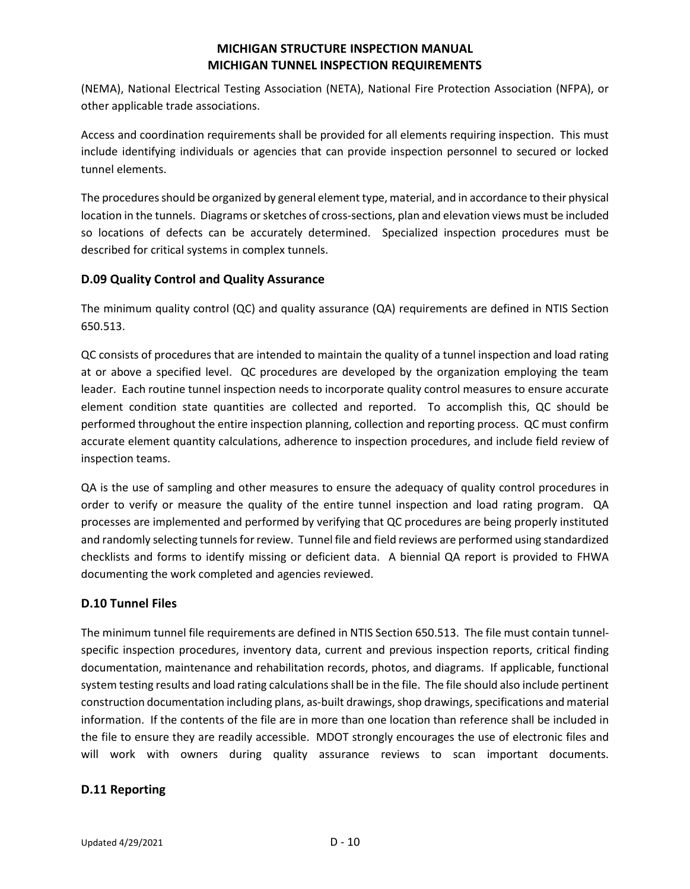(NEMA), National Electrical Testing Association (NETA), National Fire Protection Association (NFPA), or other applicable trade associations.

Access and coordination requirements shall be provided for all elements requiring inspection. This must include identifying individuals or agencies that can provide inspection personnel to secured or locked tunnel elements.

The procedures should be organized by general element type, material, and in accordance to their physical location in the tunnels. Diagrams or sketches of cross-sections, plan and elevation views must be included so locations of defects can be accurately determined. Specialized inspection procedures must be described for critical systems in complex tunnels.

## **D.09 Quality Control and Quality Assurance**

The minimum quality control (QC) and quality assurance (QA) requirements are defined in NTIS Section 650.513.

QC consists of procedures that are intended to maintain the quality of a tunnel inspection and load rating at or above a specified level. QC procedures are developed by the organization employing the team leader. Each routine tunnel inspection needs to incorporate quality control measures to ensure accurate element condition state quantities are collected and reported. To accomplish this, QC should be performed throughout the entire inspection planning, collection and reporting process. QC must confirm accurate element quantity calculations, adherence to inspection procedures, and include field review of inspection teams.

QA is the use of sampling and other measures to ensure the adequacy of quality control procedures in order to verify or measure the quality of the entire tunnel inspection and load rating program. QA processes are implemented and performed by verifying that QC procedures are being properly instituted and randomly selecting tunnels for review. Tunnel file and field reviews are performed using standardized checklists and forms to identify missing or deficient data. A biennial QA report is provided to FHWA documenting the work completed and agencies reviewed.

### **D.10 Tunnel Files**

The minimum tunnel file requirements are defined in NTIS Section 650.513. The file must contain tunnelspecific inspection procedures, inventory data, current and previous inspection reports, critical finding documentation, maintenance and rehabilitation records, photos, and diagrams. If applicable, functional system testing results and load rating calculations shall be in the file. The file should also include pertinent construction documentation including plans, as-built drawings, shop drawings, specifications and material information. If the contents of the file are in more than one location than reference shall be included in the file to ensure they are readily accessible. MDOT strongly encourages the use of electronic files and will work with owners during quality assurance reviews to scan important documents.

### **D.11 Reporting**